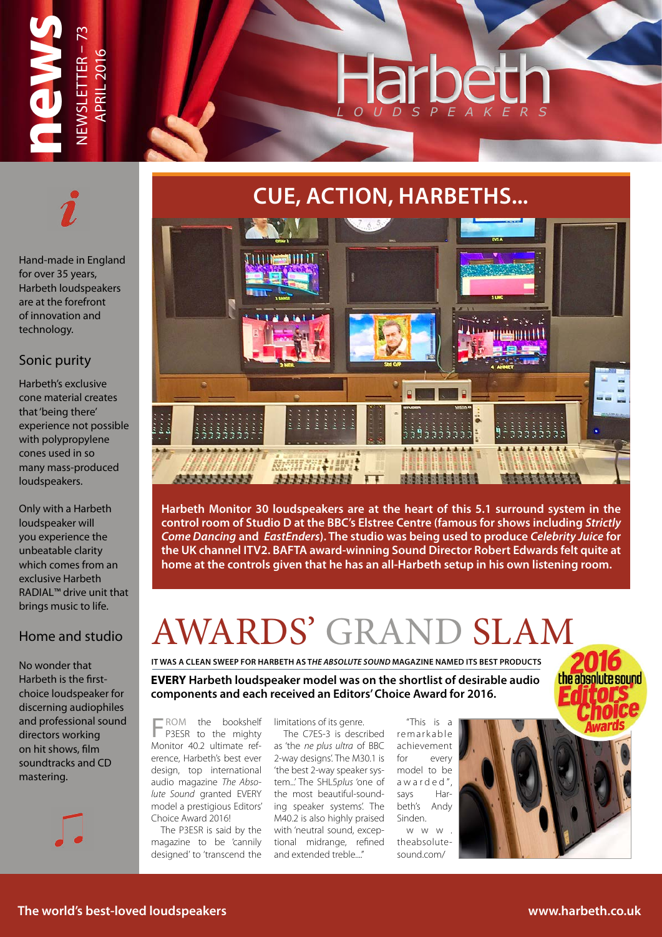

### **CUE, ACTION, HARBETHS...**



**Harbeth Monitor 30 loudspeakers are at the heart of this 5.1 surround system in the control room of Studio D at the BBC's Elstree Centre (famous for shows including** *Strictly Come Dancing* **and** *EastEnders***). The studio was being used to produce** *Celebrity Juice* **for the UK channel ITV2. BAFTA award-winning Sound Director Robert Edwards felt quite at home at the controls given that he has an all-Harbeth setup in his own listening room.**

### AWARDS' GRAND SLAM

**IT WAS A CLEAN SWEEP FOR HARBETH AS T***HE ABSOLUTE SOUND* **MAGAZINE NAMED ITS BEST PRODUCTS**

**EVERY Harbeth loudspeaker model was on the shortlist of desirable audio components and each received an Editors' Choice Award for 2016.**

FROM the bookshelf P3ESR to the mighty Monitor 40.2 ultimate reference, Harbeth's best ever design, top international audio magazine *The Absolute Sound* granted EVERY model a prestigious Editors' Choice Award 2016!

The P3ESR is said by the magazine to be 'cannily designed' to 'transcend the limitations of its genre.

The C7ES-3 is described as 'the *ne plus ultra* of BBC 2-way designs'. The M30.1 is 'the best 2-way speaker system...' The SHL5*plus* 'one of the most beautiful-sounding speaker systems'. The M40.2 is also highly praised with 'neutral sound, exceptional midrange, refined and extended treble...."

"This is a re markable achievement for every model to be awarded", says Harbeth's Andy Sinden.

www. theabsolutesound.com/





Hand-made in England

Harbeth's exclusive cone material creates that 'being there' experience not possible with polypropylene cones used in so many mass-produced loudspeakers.

Only with a Harbeth loudspeaker will you experience the unbeatable clarity which comes from an exclusive Harbeth RADIAL™ drive unit that brings music to life.

#### Home and studio

No wonder that Harbeth is the firstchoice loudspeaker for discerning audiophiles and professional sound directors working on hit shows, film soundtracks and CD mastering.



the absolute sound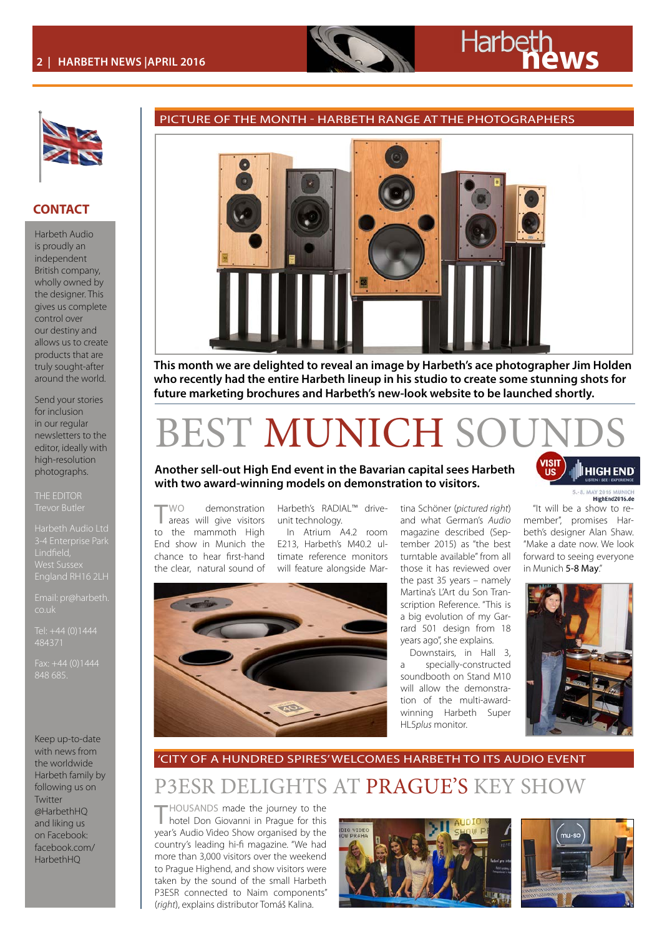#### **CONTACT**

Harbeth Audio is proudly an independent British company, wholly owned by the designer. This gives us complete control over our destiny and allows us to create products that are truly sought-after around the world.

Send your stories for inclusion in our regular newsletters to the editor, ideally with high-resolution photographs.

THE EDITOR

Harbeth Audio Ltd West Sussex

Email: pr@harbeth. co.uk

484371

Keep up-to-date with news from the worldwide Harbeth family by following us on Twitter @HarbethHQ and liking us on Facebook: facebook.com/ HarbethHQ



PICTURE OF THE MONTH - HARBETH RANGE AT THE PHOTOGRAPHERS

**This month we are delighted to reveal an image by Harbeth's ace photographer Jim Holden who recently had the entire Harbeth lineup in his studio to create some stunning shots for future marketing brochures and Harbeth's new-look website to be launched shortly.**

### BEST MUNICH SO

#### **Another sell-out High End event in the Bavarian capital sees Harbeth with two award-winning models on demonstration to visitors.**

TWO demonstration areas will give visitors to the mammoth High End show in Munich the chance to hear first-hand the clear, natural sound of

Harbeth's RADIAL™ driveunit technology.

In Atrium A4.2 room E213, Harbeth's M40.2 ultimate reference monitors will feature alongside Mar-



tina Schöner (*pictured right*) and what German's *Audio* magazine described (September 2015) as "the best turntable available" from all those it has reviewed over the past 35 years – namely Martina's L'Art du Son Transcription Reference. "This is a big evolution of my Garrard 501 design from 18 years ago", she explains.

Downstairs, in Hall 3, a specially-constructed soundbooth on Stand M10 will allow the demonstration of the multi-awardwinning Harbeth Super HL5*plus* monitor.

**HIGHEND** 5 .8 MAY 2

HighFnd2016.de

"It will be a show to remember", promises Harbeth's designer Alan Shaw. "Make a date now. We look forward to seeing everyone in Munich 5-8 May"



P3ESR DELIGHTS AT PRAGUE'S KEY SHOW 'CITY OF A HUNDRED SPIRES' WELCOMES HARBETH TO ITS AUDIO EVENT

THOUSANDS made the journey to the hotel Don Giovanni in Prague for this year's Audio Video Show organised by the country's leading hi-fi magazine. "We had more than 3,000 visitors over the weekend to Prague Highend, and show visitors were taken by the sound of the small Harbeth P3ESR connected to Naim components" (*right*), explains distributor Tomáš Kalina.



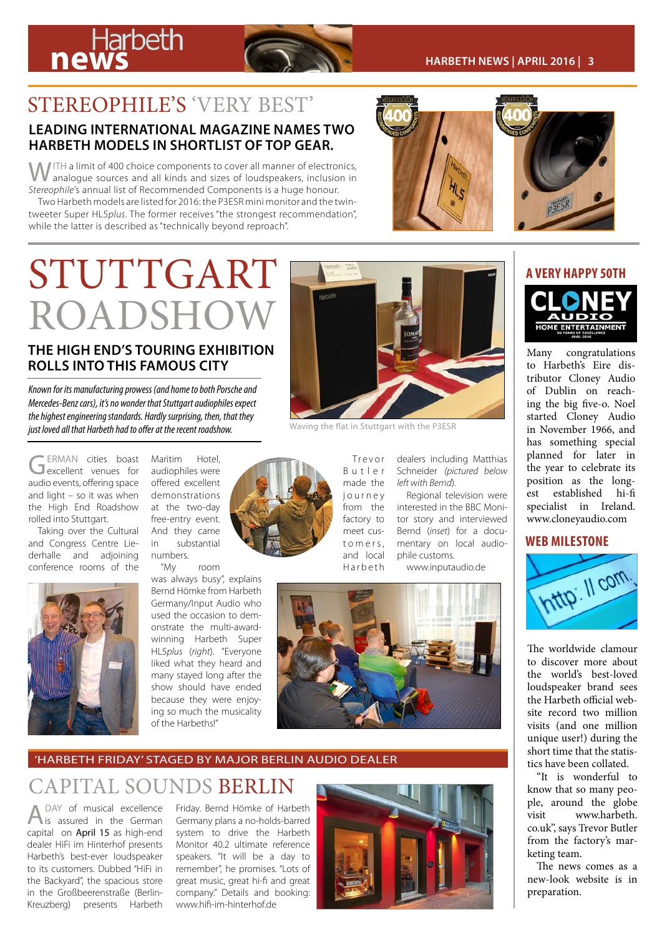# **news Harbeth CONS**



#### STEREOPHILE'S 'VERY BEST'

#### **LEADING INTERNATIONAL MAGAZINE NAMES TWO HARBETH MODELS IN SHORTLIST OF TOP GEAR.**

WITH a limit of 400 choice components to cover all manner of electronics, analogue sources and all kinds and sizes of loudspeakers, inclusion in *Stereophile'*s annual list of Recommended Components is a huge honour. Two Harbeth models are listed for 2016: the P3ESR mini monitor and the twin-

tweeter Super HL5*plus*. The former receives "the strongest recommendation", while the latter is described as "technically beyond reproach".



## STUTTGART **A RESERVED FOR A VERY HAPPY 50TH** ROADSHOW

#### **THE HIGH END'S TOURING EXHIBITION ROLLS INTO THIS FAMOUS CITY**

*Known for its manufacturing prowess (and home to both Porsche and Mercedes-Benz cars), it's no wonder that Stuttgart audiophiles expect the highest engineering standards. Hardly surprising, then, that they just loved all that Harbeth had to offer at the recent roadshow.* 

GERMAN cities boast<br>Gexcellent venues for audio events, offering space and light – so it was when the High End Roadshow rolled into Stuttgart.

Taking over the Cultural and Congress Centre Liederhalle and adjoining conference rooms of the



Maritim Hotel, audiophiles were offered excellent demonstrations at the two-day free-entry event. And they came in substantial numbers.<br>"Mv

room

was always busy", explains Bernd Hömke from Harbeth Germany/Input Audio who used the occasion to demonstrate the multi-awardwinning Harbeth Super HL5*plus* (*right*). "Everyone liked what they heard and many stayed long after the show should have ended because they were enjoying so much the musicality of the Harbeths!"



Waving the flat in Stuttgart with the P3ESR

Tr e v o r B u t l e r made the j o u r n e y from the factory to meet cust o m e r s, and local H a r b e t h

dealers including Matthias Schneider *(pictured below left with Bernd*).

Regional television were interested in the BBC Monitor story and interviewed Bernd (*inset*) for a documentary on local audiophile customs.

www.inputaudio.de



#### 'HARBETH FRIDAY' STAGED BY MAJOR BERLIN AUDIO DEALER

#### CAPITAL SOUNDS BERLIN

A DAY of musical excellence<br>is assured in the German capital on April 15 as high-end dealer HiFi im Hinterhof presents Harbeth's best-ever loudspeaker to its customers. Dubbed "HiFi in the Backyard", the spacious store in the Großbeerenstraße (Berlin-Kreuzberg) presents Harbeth

Friday. Bernd Hömke of Harbeth Germany plans a no-holds-barred system to drive the Harbeth Monitor 40.2 ultimate reference speakers. "It will be a day to remember", he promises. "Lots of great music, great hi-fi and great company." Details and booking: www.hifi-im-hinterhof.de





Many congratulations to Harbeth's Eire distributor Cloney Audio of Dublin on reaching the big five-o. Noel started Cloney Audio in November 1966, and has something special planned for later in the year to celebrate its position as the longest established hi-fi specialist in Ireland. www.cloneyaudio.com

#### **WEB MILESTONE**



The worldwide clamour to discover more about the world's best-loved loudspeaker brand sees the Harbeth official website record two million visits (and one million unique user!) during the short time that the statistics have been collated.

"It is wonderful to know that so many people, around the globe visit www.harbeth. co.uk", says Trevor Butler from the factory's marketing team.

The news comes as a new-look website is in preparation.